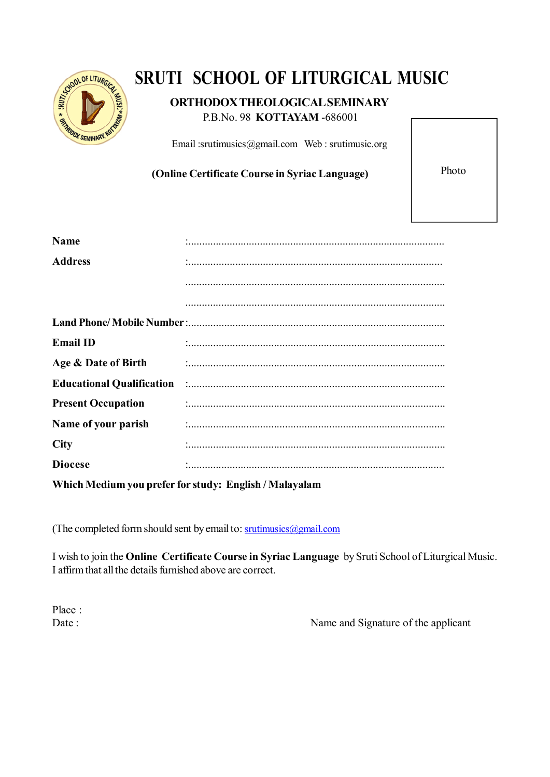

# **SRUTI SCHOOL OF LITURGICAL MUSIC**

## **ORTHODOX THEOLOGICAL SEMINARY**

P.B.No. 98 **KOTTAYAM** -686001

Email :srutimusics@gmail.com Web : srutimusic.org

**(Online Certificate Course in Syriac Language)** Photo

| <b>Name</b>                                            |                                                                                                                 |
|--------------------------------------------------------|-----------------------------------------------------------------------------------------------------------------|
| <b>Address</b>                                         |                                                                                                                 |
|                                                        |                                                                                                                 |
|                                                        |                                                                                                                 |
|                                                        |                                                                                                                 |
| <b>Email ID</b>                                        |                                                                                                                 |
| Age & Date of Birth                                    |                                                                                                                 |
|                                                        | Educational Qualification (1000) (1000) (1000) (1000) (1000) (1000) (1000) (1000) (1000) (1000) (1000) (1000) ( |
| <b>Present Occupation</b>                              |                                                                                                                 |
| Name of your parish                                    |                                                                                                                 |
| <b>City</b>                                            |                                                                                                                 |
| <b>Diocese</b>                                         |                                                                                                                 |
| Which Medium you prefer for study: English / Malayalam |                                                                                                                 |

(The completed form should sent by email to: srutimusics@gmail.com

I wish to join the **Online Certificate Course in Syriac Language** by Sruti School of Liturgical Music. I affirm that all the details furnished above are correct.

Place :

Date : Name and Signature of the applicant